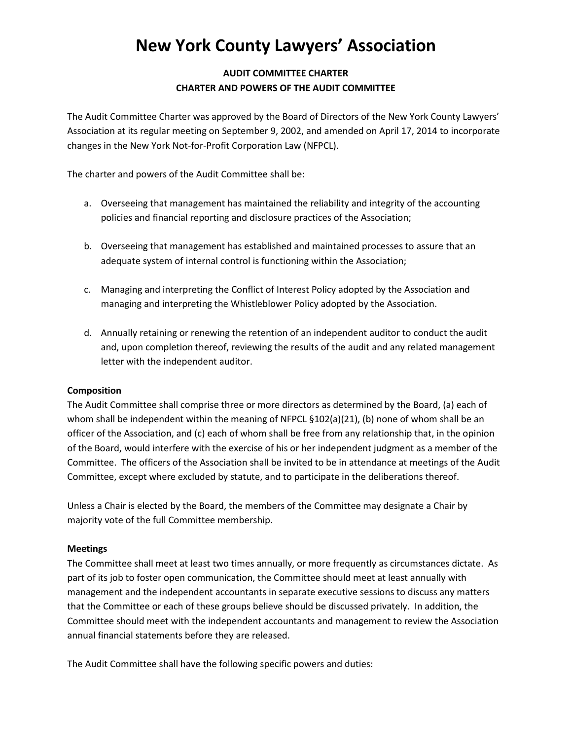# **New York County Lawyers' Association**

# **AUDIT COMMITTEE CHARTER CHARTER AND POWERS OF THE AUDIT COMMITTEE**

The Audit Committee Charter was approved by the Board of Directors of the New York County Lawyers' Association at its regular meeting on September 9, 2002, and amended on April 17, 2014 to incorporate changes in the New York Not-for-Profit Corporation Law (NFPCL).

The charter and powers of the Audit Committee shall be:

- a. Overseeing that management has maintained the reliability and integrity of the accounting policies and financial reporting and disclosure practices of the Association;
- b. Overseeing that management has established and maintained processes to assure that an adequate system of internal control is functioning within the Association;
- c. Managing and interpreting the Conflict of Interest Policy adopted by the Association and managing and interpreting the Whistleblower Policy adopted by the Association.
- d. Annually retaining or renewing the retention of an independent auditor to conduct the audit and, upon completion thereof, reviewing the results of the audit and any related management letter with the independent auditor.

## **Composition**

The Audit Committee shall comprise three or more directors as determined by the Board, (a) each of whom shall be independent within the meaning of NFPCL §102(a)(21), (b) none of whom shall be an officer of the Association, and (c) each of whom shall be free from any relationship that, in the opinion of the Board, would interfere with the exercise of his or her independent judgment as a member of the Committee. The officers of the Association shall be invited to be in attendance at meetings of the Audit Committee, except where excluded by statute, and to participate in the deliberations thereof.

Unless a Chair is elected by the Board, the members of the Committee may designate a Chair by majority vote of the full Committee membership.

#### **Meetings**

The Committee shall meet at least two times annually, or more frequently as circumstances dictate. As part of its job to foster open communication, the Committee should meet at least annually with management and the independent accountants in separate executive sessions to discuss any matters that the Committee or each of these groups believe should be discussed privately. In addition, the Committee should meet with the independent accountants and management to review the Association annual financial statements before they are released.

The Audit Committee shall have the following specific powers and duties: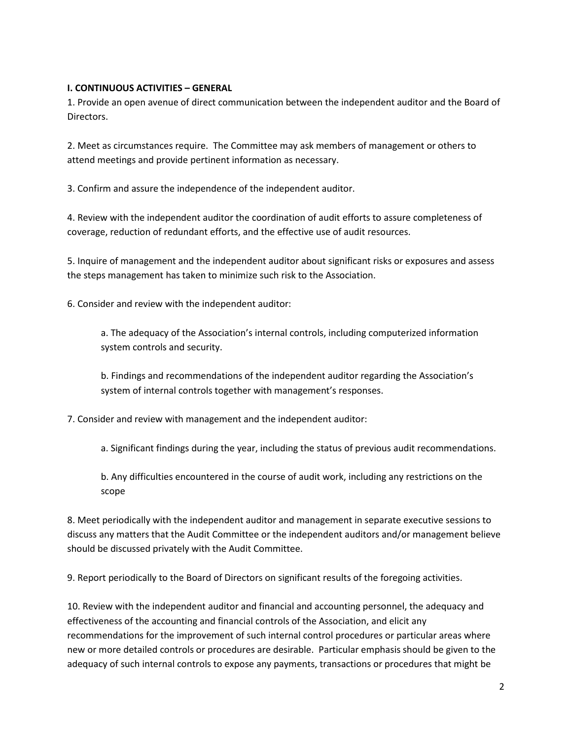#### **I. CONTINUOUS ACTIVITIES – GENERAL**

1. Provide an open avenue of direct communication between the independent auditor and the Board of Directors.

2. Meet as circumstances require. The Committee may ask members of management or others to attend meetings and provide pertinent information as necessary.

3. Confirm and assure the independence of the independent auditor.

4. Review with the independent auditor the coordination of audit efforts to assure completeness of coverage, reduction of redundant efforts, and the effective use of audit resources.

5. Inquire of management and the independent auditor about significant risks or exposures and assess the steps management has taken to minimize such risk to the Association.

6. Consider and review with the independent auditor:

a. The adequacy of the Association's internal controls, including computerized information system controls and security.

b. Findings and recommendations of the independent auditor regarding the Association's system of internal controls together with management's responses.

7. Consider and review with management and the independent auditor:

a. Significant findings during the year, including the status of previous audit recommendations.

b. Any difficulties encountered in the course of audit work, including any restrictions on the scope

8. Meet periodically with the independent auditor and management in separate executive sessions to discuss any matters that the Audit Committee or the independent auditors and/or management believe should be discussed privately with the Audit Committee.

9. Report periodically to the Board of Directors on significant results of the foregoing activities.

10. Review with the independent auditor and financial and accounting personnel, the adequacy and effectiveness of the accounting and financial controls of the Association, and elicit any recommendations for the improvement of such internal control procedures or particular areas where new or more detailed controls or procedures are desirable. Particular emphasis should be given to the adequacy of such internal controls to expose any payments, transactions or procedures that might be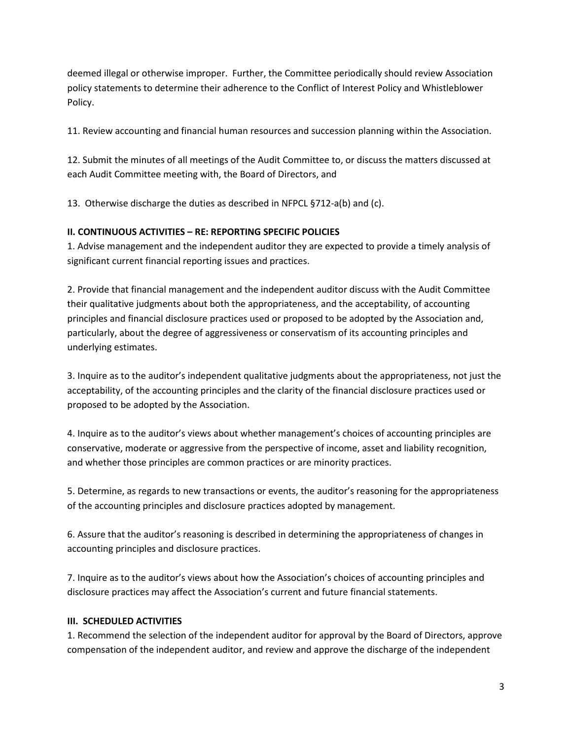deemed illegal or otherwise improper. Further, the Committee periodically should review Association policy statements to determine their adherence to the Conflict of Interest Policy and Whistleblower Policy.

11. Review accounting and financial human resources and succession planning within the Association.

12. Submit the minutes of all meetings of the Audit Committee to, or discuss the matters discussed at each Audit Committee meeting with, the Board of Directors, and

13. Otherwise discharge the duties as described in NFPCL §712-a(b) and (c).

## **II. CONTINUOUS ACTIVITIES – RE: REPORTING SPECIFIC POLICIES**

1. Advise management and the independent auditor they are expected to provide a timely analysis of significant current financial reporting issues and practices.

2. Provide that financial management and the independent auditor discuss with the Audit Committee their qualitative judgments about both the appropriateness, and the acceptability, of accounting principles and financial disclosure practices used or proposed to be adopted by the Association and, particularly, about the degree of aggressiveness or conservatism of its accounting principles and underlying estimates.

3. Inquire as to the auditor's independent qualitative judgments about the appropriateness, not just the acceptability, of the accounting principles and the clarity of the financial disclosure practices used or proposed to be adopted by the Association.

4. Inquire as to the auditor's views about whether management's choices of accounting principles are conservative, moderate or aggressive from the perspective of income, asset and liability recognition, and whether those principles are common practices or are minority practices.

5. Determine, as regards to new transactions or events, the auditor's reasoning for the appropriateness of the accounting principles and disclosure practices adopted by management.

6. Assure that the auditor's reasoning is described in determining the appropriateness of changes in accounting principles and disclosure practices.

7. Inquire as to the auditor's views about how the Association's choices of accounting principles and disclosure practices may affect the Association's current and future financial statements.

## **III. SCHEDULED ACTIVITIES**

1. Recommend the selection of the independent auditor for approval by the Board of Directors, approve compensation of the independent auditor, and review and approve the discharge of the independent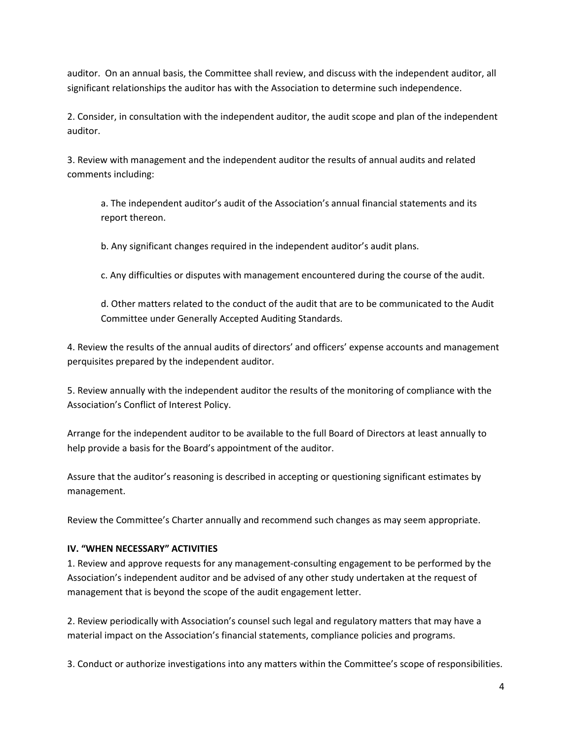auditor. On an annual basis, the Committee shall review, and discuss with the independent auditor, all significant relationships the auditor has with the Association to determine such independence.

2. Consider, in consultation with the independent auditor, the audit scope and plan of the independent auditor.

3. Review with management and the independent auditor the results of annual audits and related comments including:

a. The independent auditor's audit of the Association's annual financial statements and its report thereon.

b. Any significant changes required in the independent auditor's audit plans.

c. Any difficulties or disputes with management encountered during the course of the audit.

d. Other matters related to the conduct of the audit that are to be communicated to the Audit Committee under Generally Accepted Auditing Standards.

4. Review the results of the annual audits of directors' and officers' expense accounts and management perquisites prepared by the independent auditor.

5. Review annually with the independent auditor the results of the monitoring of compliance with the Association's Conflict of Interest Policy.

Arrange for the independent auditor to be available to the full Board of Directors at least annually to help provide a basis for the Board's appointment of the auditor.

Assure that the auditor's reasoning is described in accepting or questioning significant estimates by management.

Review the Committee's Charter annually and recommend such changes as may seem appropriate.

## **IV. "WHEN NECESSARY" ACTIVITIES**

1. Review and approve requests for any management-consulting engagement to be performed by the Association's independent auditor and be advised of any other study undertaken at the request of management that is beyond the scope of the audit engagement letter.

2. Review periodically with Association's counsel such legal and regulatory matters that may have a material impact on the Association's financial statements, compliance policies and programs.

3. Conduct or authorize investigations into any matters within the Committee's scope of responsibilities.